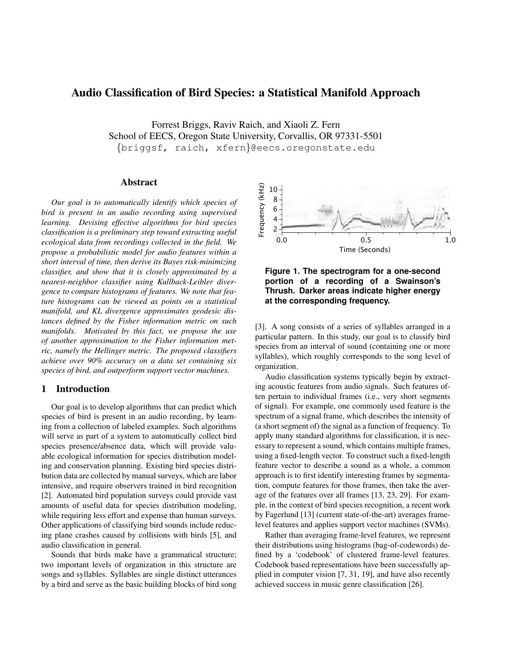# Audio Classification of Bird Species: a Statistical Manifold Approach

Forrest Briggs, Raviv Raich, and Xiaoli Z. Fern School of EECS, Oregon State University, Corvallis, OR 97331-5501 {briggsf, raich, xfern}@eecs.oregonstate.edu

## Abstract

*Our goal is to automatically identify which species of bird is present in an audio recording using supervised learning. Devising effective algorithms for bird species classification is a preliminary step toward extracting useful ecological data from recordings collected in the field. We propose a probabilistic model for audio features within a short interval of time, then derive its Bayes risk-minimizing classifier, and show that it is closely approximated by a nearest-neighbor classifier using Kullback-Leibler divergence to compare histograms of features. We note that feature histograms can be viewed as points on a statistical manifold, and KL divergence approximates geodesic distances defined by the Fisher information metric on such manifolds. Motivated by this fact, we propose the use of another approximation to the Fisher information metric, namely the Hellinger metric. The proposed classifiers achieve over 90% accuracy on a data set containing six species of bird, and outperform support vector machines.*

# 1 Introduction

Our goal is to develop algorithms that can predict which species of bird is present in an audio recording, by learning from a collection of labeled examples. Such algorithms will serve as part of a system to automatically collect bird species presence/absence data, which will provide valuable ecological information for species distribution modeling and conservation planning. Existing bird species distribution data are collected by manual surveys, which are labor intensive, and require observers trained in bird recognition [2]. Automated bird population surveys could provide vast amounts of useful data for species distribution modeling, while requiring less effort and expense than human surveys. Other applications of classifying bird sounds include reducing plane crashes caused by collisions with birds [5], and audio classification in general.

Sounds that birds make have a grammatical structure; two important levels of organization in this structure are songs and syllables. Syllables are single distinct utterances by a bird and serve as the basic building blocks of bird song





[3]. A song consists of a series of syllables arranged in a particular pattern. In this study, our goal is to classify bird species from an interval of sound (containing one or more syllables), which roughly corresponds to the song level of organization.

Audio classification systems typically begin by extracting acoustic features from audio signals. Such features often pertain to individual frames (i.e., very short segments of signal). For example, one commonly used feature is the spectrum of a signal frame, which describes the intensity of (a short segment of) the signal as a function of frequency. To apply many standard algorithms for classification, it is necessary to represent a sound, which contains multiple frames, using a fixed-length vector. To construct such a fixed-length feature vector to describe a sound as a whole, a common approach is to first identify interesting frames by segmentation, compute features for those frames, then take the average of the features over all frames [13, 23, 29]. For example, in the context of bird species recognition, a recent work by Fagerlund [13] (current state-of-the-art) averages framelevel features and applies support vector machines (SVMs).

Rather than averaging frame-level features, we represent their distributions using histograms (bag-of-codewords) defined by a 'codebook' of clustered frame-level features. Codebook based representations have been successfully applied in computer vision [7, 31, 19], and have also recently achieved success in music genre classification [26].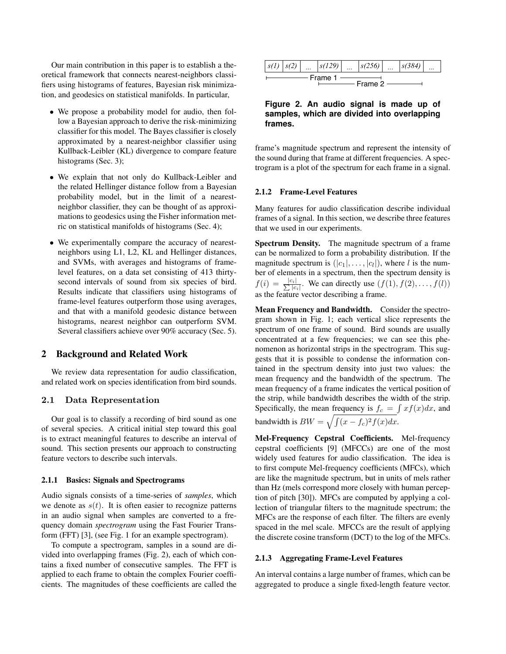Our main contribution in this paper is to establish a theoretical framework that connects nearest-neighbors classifiers using histograms of features, Bayesian risk minimization, and geodesics on statistical manifolds. In particular,

- We propose a probability model for audio, then follow a Bayesian approach to derive the risk-minimizing classifier for this model. The Bayes classifier is closely approximated by a nearest-neighbor classifier using Kullback-Leibler (KL) divergence to compare feature histograms (Sec. 3);
- We explain that not only do Kullback-Leibler and the related Hellinger distance follow from a Bayesian probability model, but in the limit of a nearestneighbor classifier, they can be thought of as approximations to geodesics using the Fisher information metric on statistical manifolds of histograms (Sec. 4);
- We experimentally compare the accuracy of nearestneighbors using L1, L2, KL and Hellinger distances, and SVMs, with averages and histograms of framelevel features, on a data set consisting of 413 thirtysecond intervals of sound from six species of bird. Results indicate that classifiers using histograms of frame-level features outperform those using averages, and that with a manifold geodesic distance between histograms, nearest neighbor can outperform SVM. Several classifiers achieve over 90% accuracy (Sec. 5).

# 2 Background and Related Work

We review data representation for audio classification, and related work on species identification from bird sounds.

## 2.1 Data Representation

Our goal is to classify a recording of bird sound as one of several species. A critical initial step toward this goal is to extract meaningful features to describe an interval of sound. This section presents our approach to constructing feature vectors to describe such intervals.

### 2.1.1 Basics: Signals and Spectrograms

Audio signals consists of a time-series of *samples*, which we denote as  $s(t)$ . It is often easier to recognize patterns in an audio signal when samples are converted to a frequency domain *spectrogram* using the Fast Fourier Transform (FFT) [3], (see Fig. 1 for an example spectrogram).

To compute a spectrogram, samples in a sound are divided into overlapping frames (Fig. 2), each of which contains a fixed number of consecutive samples. The FFT is applied to each frame to obtain the complex Fourier coefficients. The magnitudes of these coefficients are called the

| $\sqrt{s}$         |  |  | s(129) | $\cdots$ | $\left  \frac{s(256)}{s(256)} \right $ | $\cdots$ | $ S/3\delta$ |  |  |  |  |
|--------------------|--|--|--------|----------|----------------------------------------|----------|--------------|--|--|--|--|
| Frame 1<br>Frame 2 |  |  |        |          |                                        |          |              |  |  |  |  |

**Figure 2. An audio signal is made up of samples, which are divided into overlapping frames.**

frame's magnitude spectrum and represent the intensity of the sound during that frame at different frequencies. A spectrogram is a plot of the spectrum for each frame in a signal.

#### 2.1.2 Frame-Level Features

Many features for audio classification describe individual frames of a signal. In this section, we describe three features that we used in our experiments.

Spectrum Density. The magnitude spectrum of a frame can be normalized to form a probability distribution. If the magnitude spectrum is  $(|c_1|, \ldots, |c_l|)$ , where l is the number of elements in a spectrum, then the spectrum density is  $f(i) = \frac{|c_i|}{\sum |c_i|}$  $\frac{|c_i|}{|c_i|}$ . We can directly use  $(f(1), f(2), \ldots, f(l))$ as the feature vector describing a frame.

Mean Frequency and Bandwidth. Consider the spectrogram shown in Fig. 1; each vertical slice represents the spectrum of one frame of sound. Bird sounds are usually concentrated at a few frequencies; we can see this phenomenon as horizontal strips in the spectrogram. This suggests that it is possible to condense the information contained in the spectrum density into just two values: the mean frequency and the bandwidth of the spectrum. The mean frequency of a frame indicates the vertical position of the strip, while bandwidth describes the width of the strip. Specifically, the mean frequency is  $f_c = \int x f(x) dx$ , and bandwidth is  $BW = \sqrt{\int (x - f_c)^2 f(x) dx}$ .

Mel-Frequency Cepstral Coefficients. Mel-frequency cepstral coefficients [9] (MFCCs) are one of the most widely used features for audio classification. The idea is to first compute Mel-frequency coefficients (MFCs), which are like the magnitude spectrum, but in units of mels rather than Hz (mels correspond more closely with human perception of pitch [30]). MFCs are computed by applying a collection of triangular filters to the magnitude spectrum; the MFCs are the response of each filter. The filters are evenly spaced in the mel scale. MFCCs are the result of applying the discrete cosine transform (DCT) to the log of the MFCs.

## 2.1.3 Aggregating Frame-Level Features

An interval contains a large number of frames, which can be aggregated to produce a single fixed-length feature vector.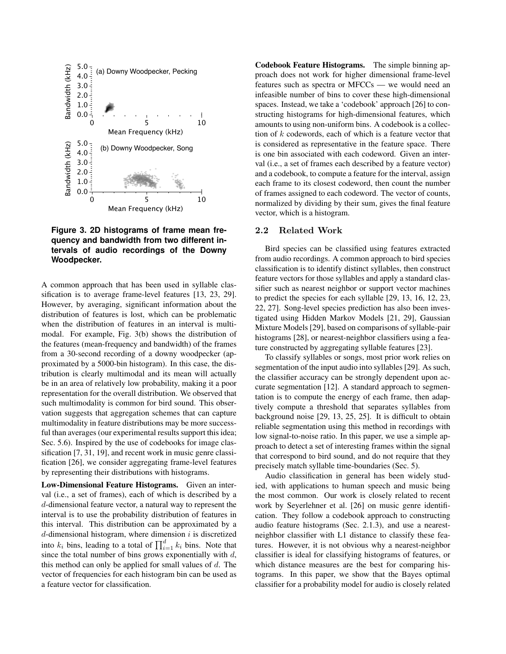

**Figure 3. 2D histograms of frame mean frequency and bandwidth from two different intervals of audio recordings of the Downy Woodpecker.**

A common approach that has been used in syllable classification is to average frame-level features [13, 23, 29]. However, by averaging, significant information about the distribution of features is lost, which can be problematic when the distribution of features in an interval is multimodal. For example, Fig. 3(b) shows the distribution of the features (mean-frequency and bandwidth) of the frames from a 30-second recording of a downy woodpecker (approximated by a 5000-bin histogram). In this case, the distribution is clearly multimodal and its mean will actually be in an area of relatively low probability, making it a poor representation for the overall distribution. We observed that such multimodality is common for bird sound. This observation suggests that aggregation schemes that can capture multimodality in feature distributions may be more successful than averages (our experimental results support this idea; Sec. 5.6). Inspired by the use of codebooks for image classification [7, 31, 19], and recent work in music genre classification [26], we consider aggregating frame-level features by representing their distributions with histograms.

Low-Dimensional Feature Histograms. Given an interval (i.e., a set of frames), each of which is described by a d-dimensional feature vector, a natural way to represent the interval is to use the probability distribution of features in this interval. This distribution can be approximated by a  $d$ -dimensional histogram, where dimension  $i$  is discretized into  $k_i$  bins, leading to a total of  $\prod_{i=1}^d k_i$  bins. Note that since the total number of bins grows exponentially with  $d$ , this method can only be applied for small values of  $d$ . The vector of frequencies for each histogram bin can be used as a feature vector for classification.

Codebook Feature Histograms. The simple binning approach does not work for higher dimensional frame-level features such as spectra or MFCCs — we would need an infeasible number of bins to cover these high-dimensional spaces. Instead, we take a 'codebook' approach [26] to constructing histograms for high-dimensional features, which amounts to using non-uniform bins. A codebook is a collection of k codewords, each of which is a feature vector that is considered as representative in the feature space. There is one bin associated with each codeword. Given an interval (i.e., a set of frames each described by a feature vector) and a codebook, to compute a feature for the interval, assign each frame to its closest codeword, then count the number of frames assigned to each codeword. The vector of counts, normalized by dividing by their sum, gives the final feature vector, which is a histogram.

# 2.2 Related Work

Bird species can be classified using features extracted from audio recordings. A common approach to bird species classification is to identify distinct syllables, then construct feature vectors for those syllables and apply a standard classifier such as nearest neighbor or support vector machines to predict the species for each syllable [29, 13, 16, 12, 23, 22, 27]. Song-level species prediction has also been investigated using Hidden Markov Models [21, 29], Gaussian Mixture Models [29], based on comparisons of syllable-pair histograms [28], or nearest-neighbor classifiers using a feature constructed by aggregating syllable features [23].

To classify syllables or songs, most prior work relies on segmentation of the input audio into syllables [29]. As such, the classifier accuracy can be strongly dependent upon accurate segmentation [12]. A standard approach to segmentation is to compute the energy of each frame, then adaptively compute a threshold that separates syllables from background noise [29, 13, 25, 25]. It is difficult to obtain reliable segmentation using this method in recordings with low signal-to-noise ratio. In this paper, we use a simple approach to detect a set of interesting frames within the signal that correspond to bird sound, and do not require that they precisely match syllable time-boundaries (Sec. 5).

Audio classification in general has been widely studied, with applications to human speech and music being the most common. Our work is closely related to recent work by Seyerlehner et al. [26] on music genre identification. They follow a codebook approach to constructing audio feature histograms (Sec. 2.1.3), and use a nearestneighbor classifier with L1 distance to classify these features. However, it is not obvious why a nearest-neighbor classifier is ideal for classifying histograms of features, or which distance measures are the best for comparing histograms. In this paper, we show that the Bayes optimal classifier for a probability model for audio is closely related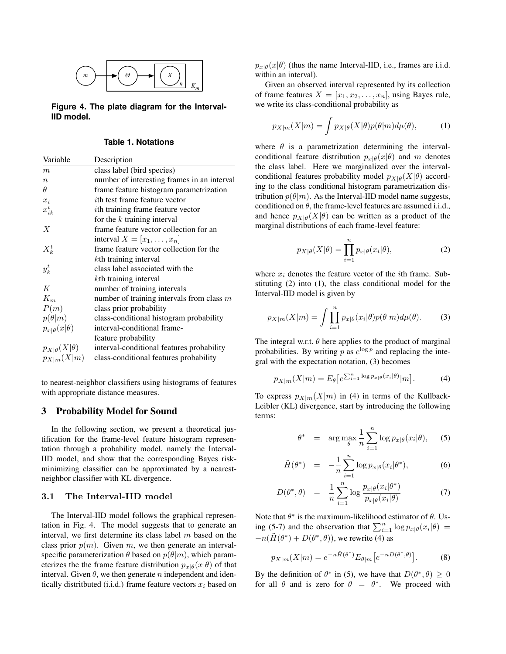

**Figure 4. The plate diagram for the Interval-IID model.**

## **Table 1. Notations**

| Variable                                       | Description                                 |  |  |  |  |
|------------------------------------------------|---------------------------------------------|--|--|--|--|
| $\mathfrak{m}$                                 | class label (bird species)                  |  |  |  |  |
| $\it n$                                        | number of interesting frames in an interval |  |  |  |  |
| $\theta$                                       | frame feature histogram parametrization     |  |  |  |  |
|                                                | <i>i</i> th test frame feature vector       |  |  |  |  |
| $\begin{array}{c} x_i \\ x_{ik}^t \end{array}$ | <i>i</i> th training frame feature vector   |  |  |  |  |
|                                                | for the $k$ training interval               |  |  |  |  |
| $\boldsymbol{X}$                               | frame feature vector collection for an      |  |  |  |  |
|                                                | interval $X = [x_1, \ldots, x_n]$           |  |  |  |  |
| $X_k^t$                                        | frame feature vector collection for the     |  |  |  |  |
|                                                | kth training interval                       |  |  |  |  |
| $y_k^t$                                        | class label associated with the             |  |  |  |  |
|                                                | kth training interval                       |  |  |  |  |
| K                                              | number of training intervals                |  |  |  |  |
| $K_m$                                          | number of training intervals from class $m$ |  |  |  |  |
| P(m)                                           | class prior probability                     |  |  |  |  |
| $p(\theta m)$                                  | class-conditional histogram probability     |  |  |  |  |
| $p_{x \theta}(x \theta)$                       | interval-conditional frame-                 |  |  |  |  |
|                                                | feature probability                         |  |  |  |  |
| $p_{X \theta}(X \theta)$                       | interval-conditional features probability   |  |  |  |  |
| $p_{X m}(X m)$                                 | class-conditional features probability      |  |  |  |  |

to nearest-neighbor classifiers using histograms of features with appropriate distance measures.

# 3 Probability Model for Sound

In the following section, we present a theoretical justification for the frame-level feature histogram representation through a probability model, namely the Interval-IID model, and show that the corresponding Bayes riskminimizing classifier can be approximated by a nearestneighbor classifier with KL divergence.

#### 3.1 The Interval-IID model

The Interval-IID model follows the graphical representation in Fig. 4. The model suggests that to generate an interval, we first determine its class label  $m$  based on the class prior  $p(m)$ . Given m, we then generate an intervalspecific parameterization  $\theta$  based on  $p(\theta|m)$ , which parameterizes the the frame feature distribution  $p_{x|\theta}(x|\theta)$  of that interval. Given  $\theta$ , we then generate n independent and identically distritbuted (i.i.d.) frame feature vectors  $x_i$  based on  $p_{x|\theta}(x|\theta)$  (thus the name Interval-IID, i.e., frames are i.i.d. within an interval).

Given an observed interval represented by its collection of frame features  $X = [x_1, x_2, \dots, x_n]$ , using Bayes rule, we write its class-conditional probability as

$$
p_{X|m}(X|m) = \int p_{X|\theta}(X|\theta)p(\theta|m)d\mu(\theta), \tag{1}
$$

where  $\theta$  is a parametrization determining the intervalconditional feature distribution  $p_{x|\theta}(x|\theta)$  and m denotes the class label. Here we marginalized over the intervalconditional features probability model  $p_{X|\theta}(X|\theta)$  according to the class conditional histogram parametrization distribution  $p(\theta|m)$ . As the Interval-IID model name suggests, conditioned on  $\theta$ , the frame-level features are assumed i.i.d., and hence  $p_{X|\theta}(X|\theta)$  can be written as a product of the marginal distributions of each frame-level feature:

$$
p_{X|\theta}(X|\theta) = \prod_{i=1}^{n} p_{x|\theta}(x_i|\theta),
$$
\n(2)

where  $x_i$  denotes the feature vector of the *i*th frame. Substituting (2) into (1), the class conditional model for the Interval-IID model is given by

$$
p_{X|m}(X|m) = \int \prod_{i=1}^{n} p_{x|\theta}(x_i|\theta) p(\theta|m) d\mu(\theta).
$$
 (3)

The integral w.r.t.  $\theta$  here applies to the product of marginal probabilities. By writing p as  $e^{\log p}$  and replacing the integral with the expectation notation, (3) becomes

$$
p_{X|m}(X|m) = E_{\theta}[e^{\sum_{i=1}^{n} \log p_{x|\theta}(x_i|\theta)}|m]. \tag{4}
$$

To express  $p_{X|m}(X|m)$  in (4) in terms of the Kullback-Leibler (KL) divergence, start by introducing the following terms:

$$
\theta^* = \arg \max_{\theta} \frac{1}{n} \sum_{i=1}^n \log p_{x|\theta}(x_i|\theta), \quad (5)
$$

$$
\tilde{H}(\theta^*) = -\frac{1}{n} \sum_{i=1}^n \log p_{x|\theta}(x_i|\theta^*), \tag{6}
$$

$$
D(\theta^*, \theta) = \frac{1}{n} \sum_{i=1}^n \log \frac{p_{x|\theta}(x_i|\theta^*)}{p_{x|\theta}(x_i|\theta)}
$$
(7)

Note that  $\theta^*$  is the maximum-likelihood estimator of  $\theta$ . Using (5-7) and the observation that  $\sum_{i=1}^{n} \log p_{x|\theta}(x_i|\theta) =$  $-n(\tilde{H}(\theta^*)+D(\theta^*,\theta))$ , we rewrite (4) as

$$
p_{X|m}(X|m) = e^{-n\tilde{H}(\theta^*)} E_{\theta|m} [e^{-nD(\theta^*,\theta)}].
$$
 (8)

By the definition of  $\theta^*$  in (5), we have that  $D(\theta^*, \theta) \geq 0$ for all  $\theta$  and is zero for  $\theta = \theta^*$ . We proceed with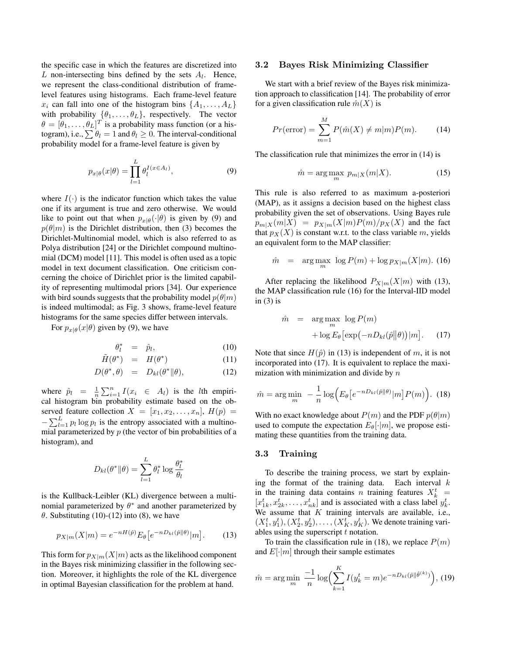the specific case in which the features are discretized into L non-intersecting bins defined by the sets  $A_l$ . Hence, we represent the class-conditional distribution of framelevel features using histograms. Each frame-level feature  $x_i$  can fall into one of the histogram bins  $\{A_1, \ldots, A_L\}$ with probability  $\{\theta_1, \ldots, \theta_L\}$ , respectively. The vector  $\theta = [\theta_1, \dots, \theta_L]^T$  is a probability mass function (or a histogram), i.e.,  $\sum \theta_l = 1$  and  $\theta_l \geq 0$ . The interval-conditional probability model for a frame-level feature is given by

$$
p_{x|\theta}(x|\theta) = \prod_{l=1}^{L} \theta_l^{I(x \in A_l)}, \tag{9}
$$

where  $I(\cdot)$  is the indicator function which takes the value one if its argument is true and zero otherwise. We would like to point out that when  $p_{x|\theta}(\cdot|\theta)$  is given by (9) and  $p(\theta|m)$  is the Dirichlet distribution, then (3) becomes the Dirichlet-Multinomial model, which is also referred to as Polya distribution [24] or the Dirichlet compound multinomial (DCM) model [11]. This model is often used as a topic model in text document classification. One criticism concerning the choice of Dirichlet prior is the limited capability of representing multimodal priors [34]. Our experience with bird sounds suggests that the probability model  $p(\theta|m)$ is indeed multimodal; as Fig. 3 shows, frame-level feature histograms for the same species differ between intervals.

For  $p_{x|\theta}(x|\theta)$  given by (9), we have

$$
\theta_l^* = \hat{p}_l, \tag{10}
$$

$$
\tilde{H}(\theta^*) = H(\theta^*) \tag{11}
$$

$$
D(\theta^*, \theta) = D_{kl}(\theta^* \| \theta), \qquad (12)
$$

where  $\hat{p}_l = \frac{1}{n} \sum_{i=1}^n I(x_i \in A_l)$  is the *l*th empirical histogram bin probability estimate based on the observed feature collection  $X = [x_1, x_2, \ldots, x_n], H(p) =$  $-\sum_{l=1}^{L} p_l \log p_l$  is the entropy associated with a multinomial parameterized by  $p$  (the vector of bin probabilities of a histogram), and

$$
D_{kl}(\theta^* \| \theta) = \sum_{l=1}^{L} \theta_l^* \log \frac{\theta_l^*}{\theta_l}
$$

is the Kullback-Leibler (KL) divergence between a multinomial parameterized by  $\theta^*$  and another parameterized by  $\theta$ . Substituting (10)-(12) into (8), we have

$$
p_{X|m}(X|m) = e^{-nH(\hat{p})} E_{\theta}[e^{-nD_{kl}(\hat{p}||\theta)}|m].
$$
 (13)

This form for  $p_{X|m}(X|m)$  acts as the likelihood component in the Bayes risk minimizing classifier in the following section. Moreover, it highlights the role of the KL divergence in optimal Bayesian classification for the problem at hand.

#### 3.2 Bayes Risk Minimizing Classifier

We start with a brief review of the Bayes risk minimization approach to classification [14]. The probability of error for a given classification rule  $\hat{m}(X)$  is

$$
Pr(\text{error}) = \sum_{m=1}^{M} P(\hat{m}(X) \neq m|m)P(m). \tag{14}
$$

The classification rule that minimizes the error in (14) is

$$
\hat{m} = \underset{m}{\text{arg max}} \ p_{m|X}(m|X). \tag{15}
$$

This rule is also referred to as maximum a-posteriori (MAP), as it assigns a decision based on the highest class probability given the set of observations. Using Bayes rule  $p_{m|X}(m|X) = p_{X|m}(X|m)P(m)/p_X(X)$  and the fact that  $p_X(X)$  is constant w.r.t. to the class variable m, yields an equivalent form to the MAP classifier:

$$
\hat{m} = \arg\max_{m} \log P(m) + \log p_{X|m}(X|m). \tag{16}
$$

After replacing the likelihood  $P_{X|m}(X|m)$  with (13), the MAP classification rule (16) for the Interval-IID model in  $(3)$  is

$$
\hat{m} = \underset{m}{\arg\max} \log P(m) + \log E_{\theta} \left[ \exp(-nD_{kl}(\hat{p}||\theta)) |m \right]. \quad (17)
$$

Note that since  $H(\hat{p})$  in (13) is independent of m, it is not incorporated into (17). It is equivalent to replace the maximization with minimization and divide by  $n$ 

$$
\hat{m} = \arg\min_{m} \ -\frac{1}{n} \log \Big( E_{\theta} \big[ e^{-nD_{kl}(\hat{p}||\theta)} |m] P(m) \Big). \tag{18}
$$

With no exact knowledge about  $P(m)$  and the PDF  $p(\theta|m)$ used to compute the expectation  $E_{\theta}[\cdot|m]$ , we propose estimating these quantities from the training data.

# 3.3 Training

To describe the training process, we start by explaining the format of the training data. Each interval  $k$ in the training data contains *n* training features  $X_k^t$  =  $[x_{1k}^t, x_{2k}^t, \ldots, x_{nk}^t]$  and is associated with a class label  $y_k^t$ . We assume that  $K$  training intervals are available, i.e.,  $(X_1^t, y_1^t), (X_2^t, y_2^t), \ldots, (X_K^t, y_K^t)$ . We denote training variables using the superscript  $t$  notation.

To train the classification rule in (18), we replace  $P(m)$ and  $E[\cdot|m]$  through their sample estimates

$$
\hat{m} = \arg\min_{m} \frac{-1}{n} \log \Bigl( \sum_{k=1}^{K} I(y_k^t = m) e^{-nD_{kl}(\hat{p}||\hat{\theta}^{(k)})} \Bigr), \, (19)
$$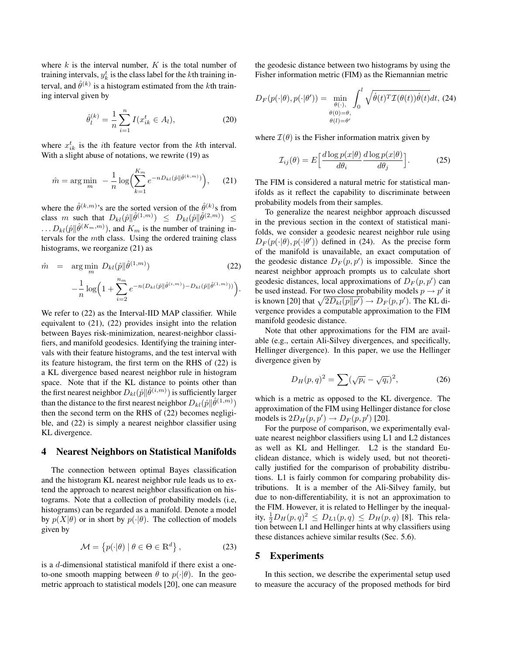where  $k$  is the interval number,  $K$  is the total number of training intervals,  $y_k^t$  is the class label for the *k*th training interval, and  $\hat{\theta}^{(k)}$  is a histogram estimated from the *k*th training interval given by

$$
\hat{\theta}_l^{(k)} = \frac{1}{n} \sum_{i=1}^n I(x_{ik}^t \in A_l), \tag{20}
$$

where  $x_{ik}^t$  is the *i*th feature vector from the *k*th interval. With a slight abuse of notations, we rewrite (19) as

$$
\hat{m} = \arg\min_{m} \ -\frac{1}{n} \log \Biggl( \sum_{k=1}^{K_m} e^{-nD_{kl}(\hat{p}||\hat{\theta}^{(k,m)})} \Biggr), \qquad (21)
$$

where the  $\hat{\theta}^{(k,m)}$ 's are the sorted version of the  $\hat{\theta}^{(k)}$ s from class m such that  $D_{kl}(\hat{p}||\hat{\theta}^{(1,m)}) \leq D_{kl}(\hat{p}||\hat{\theta}^{(2,m)}) \leq$ ...  $D_{kl}(\hat{p}||\hat{\theta}^{(K_m,m)})$ , and  $K_m$  is the number of training intervals for the mth class. Using the ordered training class histograms, we reorganize (21) as

$$
\hat{m} = \arg \min_{m} D_{kl}(\hat{p} || \hat{\theta}^{(1,m)})
$$
\n
$$
- \frac{1}{n} \log \left( 1 + \sum_{i=2}^{n_m} e^{-n(D_{kl}(\hat{p} || \hat{\theta}^{(i,m)}) - D_{kl}(\hat{p} || \hat{\theta}^{(1,m)}))} \right).
$$
\n(22)

We refer to  $(22)$  as the Interval-IID MAP classifier. While equivalent to (21), (22) provides insight into the relation between Bayes risk-minimization, nearest-neighbor classifiers, and manifold geodesics. Identifying the training intervals with their feature histograms, and the test interval with its feature histogram, the first term on the RHS of (22) is a KL divergence based nearest neighbor rule in histogram space. Note that if the KL distance to points other than the first nearest neighbor  $D_{kl}(\hat{p} || \hat{\theta}^{(i,m)})$  is sufficiently larger than the distance to the first nearest neighbor  $D_{kl}(\hat p\|\hat\theta^{(1,m)})$ then the second term on the RHS of (22) becomes negligible, and (22) is simply a nearest neighbor classifier using KL divergence.

## 4 Nearest Neighbors on Statistical Manifolds

The connection between optimal Bayes classification and the histogram KL nearest neighbor rule leads us to extend the approach to nearest neighbor classification on histograms. Note that a collection of probability models (i.e, histograms) can be regarded as a manifold. Denote a model by  $p(X|\theta)$  or in short by  $p(\cdot|\theta)$ . The collection of models given by

$$
\mathcal{M} = \{ p(\cdot | \theta) \mid \theta \in \Theta \in \mathbb{R}^d \},\tag{23}
$$

is a d-dimensional statistical manifold if there exist a oneto-one smooth mapping between  $\theta$  to  $p(\cdot|\theta)$ . In the geometric approach to statistical models [20], one can measure the geodesic distance between two histograms by using the Fisher information metric (FIM) as the Riemannian metric

$$
D_F(p(\cdot|\theta), p(\cdot|\theta')) = \min_{\substack{\theta(\cdot),\\ \theta(0) = \theta,\\ \theta(l) = \theta'}}
$$

$$
\int_0^l \sqrt{\dot{\theta}(t)^T \mathcal{I}(\theta(t)) \dot{\theta}(t)} dt, (24)
$$

where  $\mathcal{I}(\theta)$  is the Fisher information matrix given by

$$
\mathcal{I}_{ij}(\theta) = E\Big[\frac{d\log p(x|\theta)}{d\theta_i} \frac{d\log p(x|\theta)}{d\theta_j}\Big].
$$
 (25)

The FIM is considered a natural metric for statistical manifolds as it reflect the capability to discriminate between probability models from their samples.

To generalize the nearest neighbor approach discussed in the previous section in the context of statistical manifolds, we consider a geodesic nearest neighbor rule using  $D_F(p(\cdot|\theta), p(\cdot|\theta'))$  defined in (24). As the precise form of the manifold is unavailable, an exact computation of the geodesic distance  $D_F(p, p')$  is impossible. Since the nearest neighbor approach prompts us to calculate short geodesic distances, local approximations of  $D_F(p, p')$  can be used instead. For two close probability models  $p \rightarrow p'$  it is known [20] that  $\sqrt{2D_{kl}(p||p')} \rightarrow D_F(p, p')$ . The KL divergence provides a computable approximation to the FIM manifold geodesic distance.

Note that other approximations for the FIM are available (e.g., certain Ali-Silvey divergences, and specifically, Hellinger divergence). In this paper, we use the Hellinger divergence given by

$$
D_H(p,q)^2 = \sum (\sqrt{p_i} - \sqrt{q_i})^2, \tag{26}
$$

which is a metric as opposed to the KL divergence. The approximation of the FIM using Hellinger distance for close models is  $2D_H(p, p') \to D_F(p, p')$  [20].

For the purpose of comparison, we experimentally evaluate nearest neighbor classifiers using L1 and L2 distances as well as KL and Hellinger. L2 is the standard Euclidean distance, which is widely used, but not theoretically justified for the comparison of probability distributions. L1 is fairly common for comparing probability distributions. It is a member of the Ali-Silvey family, but due to non-differentiability, it is not an approximation to the FIM. However, it is related to Hellinger by the inequality,  $\frac{1}{2}D_H(p,q)^2 \leq D_{L1}(p,q) \leq D_H(p,q)$  [8]. This relation between L1 and Hellinger hints at why classifiers using these distances achieve similar results (Sec. 5.6).

# 5 Experiments

In this section, we describe the experimental setup used to measure the accuracy of the proposed methods for bird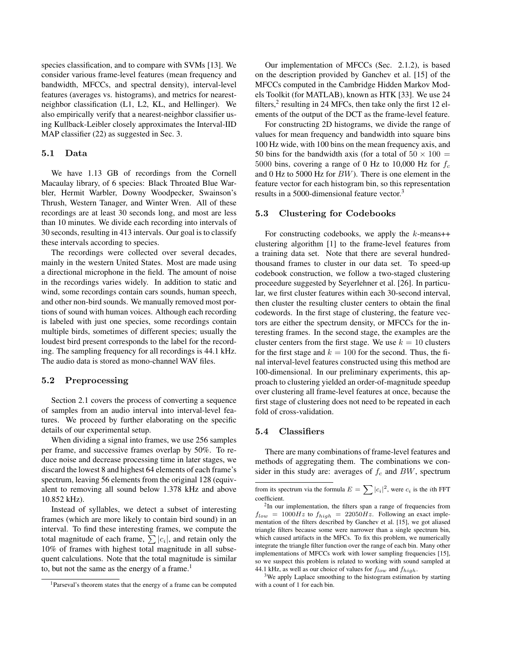species classification, and to compare with SVMs [13]. We consider various frame-level features (mean frequency and bandwidth, MFCCs, and spectral density), interval-level features (averages vs. histograms), and metrics for nearestneighbor classification (L1, L2, KL, and Hellinger). We also empirically verify that a nearest-neighbor classifier using Kullback-Leibler closely approximates the Interval-IID MAP classifier  $(22)$  as suggested in Sec. 3.

### 5.1 Data

We have 1.13 GB of recordings from the Cornell Macaulay library, of 6 species: Black Throated Blue Warbler, Hermit Warbler, Downy Woodpecker, Swainson's Thrush, Western Tanager, and Winter Wren. All of these recordings are at least 30 seconds long, and most are less than 10 minutes. We divide each recording into intervals of 30 seconds, resulting in 413 intervals. Our goal is to classify these intervals according to species.

The recordings were collected over several decades, mainly in the western United States. Most are made using a directional microphone in the field. The amount of noise in the recordings varies widely. In addition to static and wind, some recordings contain cars sounds, human speech, and other non-bird sounds. We manually removed most portions of sound with human voices. Although each recording is labeled with just one species, some recordings contain multiple birds, sometimes of different species; usually the loudest bird present corresponds to the label for the recording. The sampling frequency for all recordings is 44.1 kHz. The audio data is stored as mono-channel WAV files.

## 5.2 Preprocessing

Section 2.1 covers the process of converting a sequence of samples from an audio interval into interval-level features. We proceed by further elaborating on the specific details of our experimental setup.

When dividing a signal into frames, we use 256 samples per frame, and successive frames overlap by 50%. To reduce noise and decrease processing time in later stages, we discard the lowest 8 and highest 64 elements of each frame's spectrum, leaving 56 elements from the original 128 (equivalent to removing all sound below 1.378 kHz and above 10.852 kHz).

Instead of syllables, we detect a subset of interesting frames (which are more likely to contain bird sound) in an interval. To find these interesting frames, we compute the total magnitude of each frame,  $\sum |c_i|$ , and retain only the 10% of frames with highest total magnitude in all subsequent calculations. Note that the total magnitude is similar to, but not the same as the energy of a frame.<sup>1</sup>

Our implementation of MFCCs (Sec. 2.1.2), is based on the description provided by Ganchev et al. [15] of the MFCCs computed in the Cambridge Hidden Markov Models Toolkit (for MATLAB), known as HTK [33]. We use 24 filters, $2$  resulting in 24 MFCs, then take only the first 12 elements of the output of the DCT as the frame-level feature.

For constructing 2D histograms, we divide the range of values for mean frequency and bandwidth into square bins 100 Hz wide, with 100 bins on the mean frequency axis, and 50 bins for the bandwidth axis (for a total of  $50 \times 100 =$ 5000 bins, covering a range of 0 Hz to 10,000 Hz for  $f_c$ and 0 Hz to 5000 Hz for BW). There is one element in the feature vector for each histogram bin, so this representation results in a 5000-dimensional feature vector.<sup>3</sup>

## 5.3 Clustering for Codebooks

For constructing codebooks, we apply the  $k$ -means++ clustering algorithm [1] to the frame-level features from a training data set. Note that there are several hundredthousand frames to cluster in our data set. To speed-up codebook construction, we follow a two-staged clustering proceedure suggested by Seyerlehner et al. [26]. In particular, we first cluster features within each 30-second interval, then cluster the resulting cluster centers to obtain the final codewords. In the first stage of clustering, the feature vectors are either the spectrum density, or MFCCs for the interesting frames. In the second stage, the examples are the cluster centers from the first stage. We use  $k = 10$  clusters for the first stage and  $k = 100$  for the second. Thus, the final interval-level features constructed using this method are 100-dimensional. In our preliminary experiments, this approach to clustering yielded an order-of-magnitude speedup over clustering all frame-level features at once, because the first stage of clustering does not need to be repeated in each fold of cross-validation.

## 5.4 Classifiers

There are many combinations of frame-level features and methods of aggregating them. The combinations we consider in this study are: averages of  $f_c$  and  $BW$ , spectrum

<sup>3</sup>We apply Laplace smoothing to the histogram estimation by starting with a count of 1 for each bin.

<sup>&</sup>lt;sup>1</sup>Parseval's theorem states that the energy of a frame can be computed

from its spectrum via the formula  $E = \sum |c_i|^2$ , were  $c_i$  is the *i*th FFT coefficient.

 $2$ In our implementation, the filters span a range of frequencies from  $f_{low}$  = 1000Hz to  $f_{high}$  = 22050Hz. Following an exact implementation of the filters described by Ganchev et al. [15], we got aliased triangle filters because some were narrower than a single spectrum bin, which caused artifacts in the MFCs. To fix this problem, we numerically integrate the triangle filter function over the range of each bin. Many other implementations of MFCCs work with lower sampling frequencies [15], so we suspect this problem is related to working with sound sampled at 44.1 kHz, as well as our choice of values for  $f_{low}$  and  $f_{high}$ .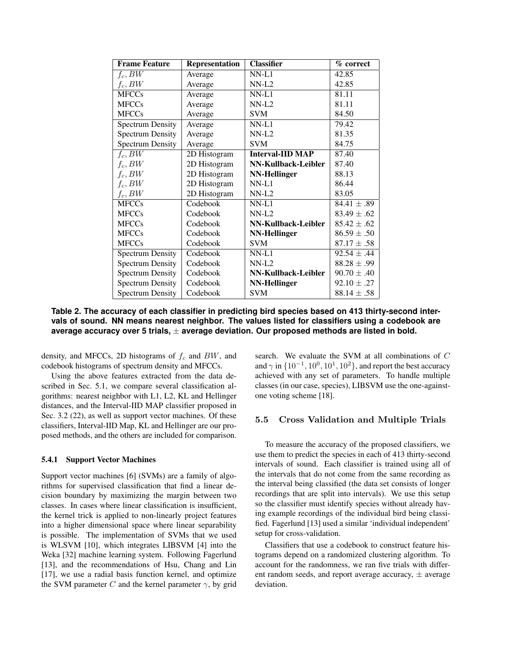| <b>Frame Feature</b>    | Representation | <b>Classifier</b>       | $\%$ correct    |
|-------------------------|----------------|-------------------------|-----------------|
| $f_c, BW$               | Average        | $NN-L1$                 | 42.85           |
| $f_c, BW$               | Average        | $NN-L2$                 | 42.85           |
| <b>MFCCs</b>            | Average        | $NN-L1$                 | 81.11           |
| <b>MFCCs</b>            | Average        | $NN-L2$                 | 81.11           |
| <b>MFCCs</b>            | Average        | <b>SVM</b>              | 84.50           |
| <b>Spectrum Density</b> | Average        | $NN-L1$                 | 79.42           |
| <b>Spectrum Density</b> | Average        | $NN-L2$                 | 81.35           |
| <b>Spectrum Density</b> | Average        | <b>SVM</b>              | 84.75           |
| $f_c, BW$               | 2D Histogram   | <b>Interval-IID MAP</b> | 87.40           |
| $f_c, BW$               | 2D Histogram   | NN-Kullback-Leibler     | 87.40           |
| $f_c, BW$               | 2D Histogram   | <b>NN-Hellinger</b>     | 88.13           |
| $f_c, BW$               | 2D Histogram   | $NN-L1$                 | 86.44           |
| $f_c, BW$               | 2D Histogram   | $NN-L2$                 | 83.05           |
| <b>MFCCs</b>            | Codebook       | $NN-L1$                 | $84.41 \pm .89$ |
| <b>MFCCs</b>            | Codebook       | $NN-L2$                 | $83.49 \pm .62$ |
| <b>MFCCs</b>            | Codebook       | NN-Kullback-Leibler     | $85.42 \pm .62$ |
| <b>MFCCs</b>            | Codebook       | <b>NN-Hellinger</b>     | $86.59 \pm .50$ |
| <b>MFCCs</b>            | Codebook       | <b>SVM</b>              | $87.17 \pm .58$ |
| <b>Spectrum Density</b> | Codebook       | $NN-L1$                 | $92.54 \pm .44$ |
| <b>Spectrum Density</b> | Codebook       | $NN-L2$                 | $88.28 \pm .99$ |
| <b>Spectrum Density</b> | Codebook       | NN-Kullback-Leibler     | $90.70 \pm .40$ |
| <b>Spectrum Density</b> | Codebook       | <b>NN-Hellinger</b>     | $92.10 \pm .27$ |
| <b>Spectrum Density</b> | Codebook       | <b>SVM</b>              | $88.14 \pm .58$ |

**Table 2. The accuracy of each classifier in predicting bird species based on 413 thirty-second intervals of sound. NN means nearest neighbor. The values listed for classifiers using a codebook are average accuracy over 5 trials,** ± **average deviation. Our proposed methods are listed in bold.**

density, and MFCCs, 2D histograms of  $f_c$  and BW, and codebook histograms of spectrum density and MFCCs.

Using the above features extracted from the data described in Sec. 5.1, we compare several classification algorithms: nearest neighbor with L1, L2, KL and Hellinger distances, and the Interval-IID MAP classifier proposed in Sec. 3.2 (22), as well as support vector machines. Of these classifiers, Interval-IID Map, KL and Hellinger are our proposed methods, and the others are included for comparison.

#### 5.4.1 Support Vector Machines

Support vector machines [6] (SVMs) are a family of algorithms for supervised classification that find a linear decision boundary by maximizing the margin between two classes. In cases where linear classification is insufficient, the kernel trick is applied to non-linearly project features into a higher dimensional space where linear separability is possible. The implementation of SVMs that we used is WLSVM [10], which integrates LIBSVM [4] into the Weka [32] machine learning system. Following Fagerlund [13], and the recommendations of Hsu, Chang and Lin [17], we use a radial basis function kernel, and optimize the SVM parameter C and the kernel parameter  $\gamma$ , by grid search. We evaluate the SVM at all combinations of C and  $\gamma$  in  $\{10^{-1}, 10^{0}, 10^{1}, 10^{2}\}$ , and report the best accuracy achieved with any set of parameters. To handle multiple classes (in our case, species), LIBSVM use the one-againstone voting scheme [18].

### 5.5 Cross Validation and Multiple Trials

To measure the accuracy of the proposed classifiers, we use them to predict the species in each of 413 thirty-second intervals of sound. Each classifier is trained using all of the intervals that do not come from the same recording as the interval being classified (the data set consists of longer recordings that are split into intervals). We use this setup so the classifier must identify species without already having example recordings of the individual bird being classified. Fagerlund [13] used a similar 'individual independent' setup for cross-validation.

Classifiers that use a codebook to construct feature histograms depend on a randomized clustering algorithm. To account for the randomness, we ran five trials with different random seeds, and report average accuracy,  $\pm$  average deviation.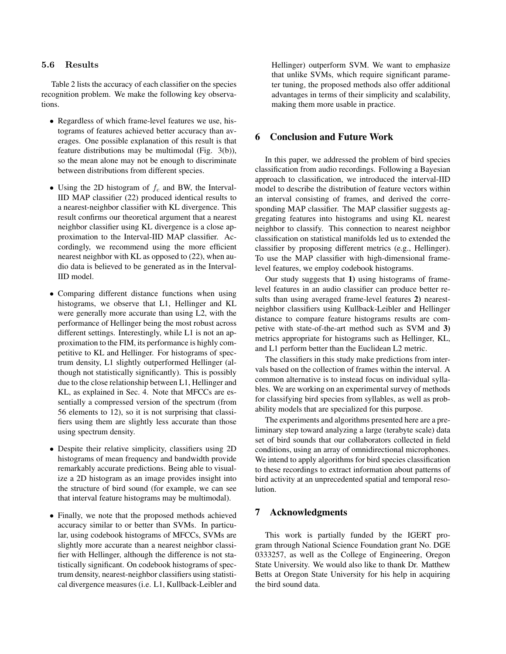# 5.6 Results

Table 2 lists the accuracy of each classifier on the species recognition problem. We make the following key observations.

- Regardless of which frame-level features we use, histograms of features achieved better accuracy than averages. One possible explanation of this result is that feature distributions may be multimodal (Fig. 3(b)), so the mean alone may not be enough to discriminate between distributions from different species.
- Using the 2D histogram of  $f_c$  and BW, the Interval-IID MAP classifier (22) produced identical results to a nearest-neighbor classifier with KL divergence. This result confirms our theoretical argument that a nearest neighbor classifier using KL divergence is a close approximation to the Interval-IID MAP classifier. Accordingly, we recommend using the more efficient nearest neighbor with KL as opposed to (22), when audio data is believed to be generated as in the Interval-IID model.
- Comparing different distance functions when using histograms, we observe that L1, Hellinger and KL were generally more accurate than using L2, with the performance of Hellinger being the most robust across different settings. Interestingly, while L1 is not an approximation to the FIM, its performance is highly competitive to KL and Hellinger. For histograms of spectrum density, L1 slightly outperformed Hellinger (although not statistically significantly). This is possibly due to the close relationship between L1, Hellinger and KL, as explained in Sec. 4. Note that MFCCs are essentially a compressed version of the spectrum (from 56 elements to 12), so it is not surprising that classifiers using them are slightly less accurate than those using spectrum density.
- Despite their relative simplicity, classifiers using 2D histograms of mean frequency and bandwidth provide remarkably accurate predictions. Being able to visualize a 2D histogram as an image provides insight into the structure of bird sound (for example, we can see that interval feature histograms may be multimodal).
- Finally, we note that the proposed methods achieved accuracy similar to or better than SVMs. In particular, using codebook histograms of MFCCs, SVMs are slightly more accurate than a nearest neighbor classifier with Hellinger, although the difference is not statistically significant. On codebook histograms of spectrum density, nearest-neighbor classifiers using statistical divergence measures (i.e. L1, Kullback-Leibler and

Hellinger) outperform SVM. We want to emphasize that unlike SVMs, which require significant parameter tuning, the proposed methods also offer additional advantages in terms of their simplicity and scalability, making them more usable in practice.

# 6 Conclusion and Future Work

In this paper, we addressed the problem of bird species classification from audio recordings. Following a Bayesian approach to classification, we introduced the interval-IID model to describe the distribution of feature vectors within an interval consisting of frames, and derived the corresponding MAP classifier. The MAP classifier suggests aggregating features into histograms and using KL nearest neighbor to classify. This connection to nearest neighbor classification on statistical manifolds led us to extended the classifier by proposing different metrics (e.g., Hellinger). To use the MAP classifier with high-dimensional framelevel features, we employ codebook histograms.

Our study suggests that 1) using histograms of framelevel features in an audio classifier can produce better results than using averaged frame-level features 2) nearestneighbor classifiers using Kullback-Leibler and Hellinger distance to compare feature histograms results are competive with state-of-the-art method such as SVM and 3) metrics appropriate for histograms such as Hellinger, KL, and L1 perform better than the Euclidean L2 metric.

The classifiers in this study make predictions from intervals based on the collection of frames within the interval. A common alternative is to instead focus on individual syllables. We are working on an experimental survey of methods for classifying bird species from syllables, as well as probability models that are specialized for this purpose.

The experiments and algorithms presented here are a preliminary step toward analyzing a large (terabyte scale) data set of bird sounds that our collaborators collected in field conditions, using an array of omnidirectional microphones. We intend to apply algorithms for bird species classification to these recordings to extract information about patterns of bird activity at an unprecedented spatial and temporal resolution.

# 7 Acknowledgments

This work is partially funded by the IGERT program through National Science Foundation grant No. DGE 0333257, as well as the College of Engineering, Oregon State University. We would also like to thank Dr. Matthew Betts at Oregon State University for his help in acquiring the bird sound data.